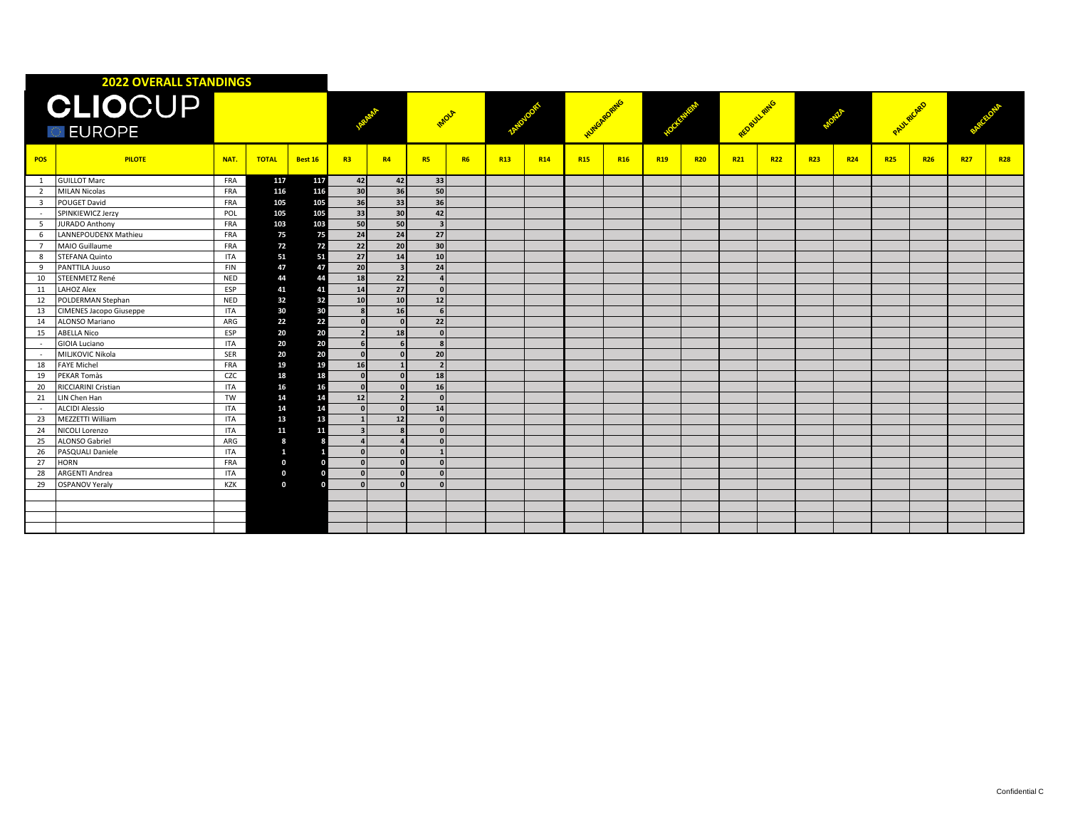| <b>2022 OVERALL STANDINGS</b>    |                         |            |              |         |                 |                          |            |           |            |            |               |            |            |            |                 |            |            |            |            |            |            |            |
|----------------------------------|-------------------------|------------|--------------|---------|-----------------|--------------------------|------------|-----------|------------|------------|---------------|------------|------------|------------|-----------------|------------|------------|------------|------------|------------|------------|------------|
| <b>CLIOCUP</b><br><b>DEUROPE</b> |                         |            |              |         |                 |                          | IMOLA      |           |            |            | Humes Roading |            |            |            | REDBUX RING     |            |            |            | PAULAICARD |            |            |            |
| <b>POS</b>                       | <b>PILOTE</b>           | NAT.       | <b>TOTAL</b> | Best 16 | R3              | R4                       | <b>R5</b>  | <b>R6</b> | <b>R13</b> | <b>R14</b> | <b>R15</b>    | <b>R16</b> | <b>R19</b> | <b>R20</b> | R <sub>21</sub> | <b>R22</b> | <b>R23</b> | <b>R24</b> | <b>R25</b> | <b>R26</b> | <b>R27</b> | <b>R28</b> |
| 1                                | <b>GUILLOT Marc</b>     | FRA        | 117          | 117     | 42              | 42                       | 33         |           |            |            |               |            |            |            |                 |            |            |            |            |            |            |            |
| 2                                | <b>MILAN Nicolas</b>    | <b>FRA</b> | 116          | 116     | 30 <sup>1</sup> | 36                       | 50         |           |            |            |               |            |            |            |                 |            |            |            |            |            |            |            |
| $\overline{3}$                   | POUGET David            | FRA        | 105          | 105     | 36              | 33                       | 36         |           |            |            |               |            |            |            |                 |            |            |            |            |            |            |            |
|                                  | SPINKIEWICZ Jerzy       | POL        | 105          | 105     | 33              | 30                       | 42         |           |            |            |               |            |            |            |                 |            |            |            |            |            |            |            |
| .5                               | <b>JURADO Anthony</b>   | FRA        | 103          | 103     | 50              | 50                       |            |           |            |            |               |            |            |            |                 |            |            |            |            |            |            |            |
| 6                                | LANNEPOUDENX Mathieu    | FRA        | 75           | 75      | 24              | 24                       | 27         |           |            |            |               |            |            |            |                 |            |            |            |            |            |            |            |
| $\overline{7}$                   | MAIO Guillaume          | FRA        | 72           | 72      | 22              | 20                       | 30         |           |            |            |               |            |            |            |                 |            |            |            |            |            |            |            |
| 8                                | STEFANA Quinto          | <b>ITA</b> | 51           | 51      | 27              | 14                       | 10         |           |            |            |               |            |            |            |                 |            |            |            |            |            |            |            |
| 9                                | PANTTILA Juuso          | <b>FIN</b> | 47           | 47      | 20              | $\overline{\mathbf{3}}$  | 24         |           |            |            |               |            |            |            |                 |            |            |            |            |            |            |            |
| 10                               | STEENMETZ René          | <b>NED</b> | 44           | 44      | 18              | 22                       |            |           |            |            |               |            |            |            |                 |            |            |            |            |            |            |            |
| 11                               | <b>LAHOZ Alex</b>       | ESP        | 41           | 41      | 14              | 27                       | $\sqrt{2}$ |           |            |            |               |            |            |            |                 |            |            |            |            |            |            |            |
| 12                               | POLDERMAN Stephan       | NED        | 32           | 32      | 10              | 10                       | 12         |           |            |            |               |            |            |            |                 |            |            |            |            |            |            |            |
| 13                               | CIMENES Jacopo Giuseppe | <b>ITA</b> | 30           | 30      |                 | 16                       |            |           |            |            |               |            |            |            |                 |            |            |            |            |            |            |            |
| 14                               | ALONSO Mariano          | ARG        | 22           | 22      |                 |                          | 22         |           |            |            |               |            |            |            |                 |            |            |            |            |            |            |            |
| 15                               | <b>ABELLA Nico</b>      | ESP        | 20           | 20      |                 | 18                       | n          |           |            |            |               |            |            |            |                 |            |            |            |            |            |            |            |
|                                  | GIOIA Luciano           | <b>ITA</b> | 20           | 20      |                 |                          |            |           |            |            |               |            |            |            |                 |            |            |            |            |            |            |            |
| $\sim$                           | MILJKOVIC Nikola        | SER        | 20           | 20      | $\Omega$        |                          | 20         |           |            |            |               |            |            |            |                 |            |            |            |            |            |            |            |
| 18                               | <b>FAYE Michel</b>      | <b>FRA</b> | 19           | 19      | 16              |                          |            |           |            |            |               |            |            |            |                 |            |            |            |            |            |            |            |
| 19                               | PEKAR Tomàs             | CZC        | 18           | 18      | $\Omega$        |                          | 18         |           |            |            |               |            |            |            |                 |            |            |            |            |            |            |            |
| 20                               | RICCIARINI Cristian     | <b>ITA</b> | 16           | 16      | $\sqrt{2}$      |                          | 16         |           |            |            |               |            |            |            |                 |            |            |            |            |            |            |            |
| 21                               | LIN Chen Han            | TW         | 14           | 14      | 12              | $\overline{\phantom{a}}$ |            |           |            |            |               |            |            |            |                 |            |            |            |            |            |            |            |
| $\sim$                           | <b>ALCIDI Alessio</b>   | <b>ITA</b> | 14           | 14      | $\Omega$        |                          | 14         |           |            |            |               |            |            |            |                 |            |            |            |            |            |            |            |
| 23                               | <b>MEZZETTI William</b> | <b>ITA</b> | 13           | 13      |                 | 12                       |            |           |            |            |               |            |            |            |                 |            |            |            |            |            |            |            |
| 24                               | <b>NICOLI Lorenzo</b>   | <b>ITA</b> | 11           | 11      |                 |                          |            |           |            |            |               |            |            |            |                 |            |            |            |            |            |            |            |
| 25                               | <b>ALONSO Gabriel</b>   | ARG        | 8            |         |                 |                          |            |           |            |            |               |            |            |            |                 |            |            |            |            |            |            |            |
| 26                               | PASQUALI Daniele        | <b>ITA</b> | $\mathbf{1}$ |         | $\Omega$        |                          |            |           |            |            |               |            |            |            |                 |            |            |            |            |            |            |            |
| 27                               | <b>HORN</b>             | <b>FRA</b> | $\mathbf 0$  |         | $\Omega$        |                          |            |           |            |            |               |            |            |            |                 |            |            |            |            |            |            |            |
| 28                               | <b>ARGENTI Andrea</b>   | <b>ITA</b> | $\bf{0}$     |         | $\Omega$        |                          | n          |           |            |            |               |            |            |            |                 |            |            |            |            |            |            |            |
| 29                               | <b>OSPANOV Yeraly</b>   | KZK        | $\mathbf 0$  |         |                 |                          |            |           |            |            |               |            |            |            |                 |            |            |            |            |            |            |            |
|                                  |                         |            |              |         |                 |                          |            |           |            |            |               |            |            |            |                 |            |            |            |            |            |            |            |
|                                  |                         |            |              |         |                 |                          |            |           |            |            |               |            |            |            |                 |            |            |            |            |            |            |            |
|                                  |                         |            |              |         |                 |                          |            |           |            |            |               |            |            |            |                 |            |            |            |            |            |            |            |
|                                  |                         |            |              |         |                 |                          |            |           |            |            |               |            |            |            |                 |            |            |            |            |            |            |            |